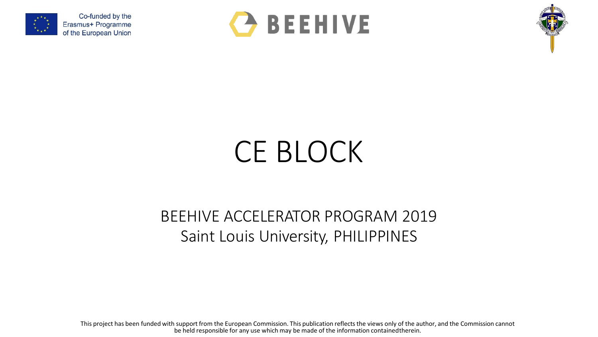





## CE BLOCK

## BEEHIVE ACCELERATOR PROGRAM 2019 Saint Louis University, PHILIPPINES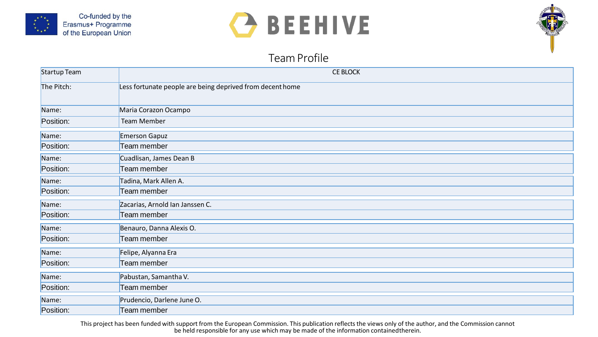





## **Team Profile**

| Startup Team | <b>CE BLOCK</b>                                           |
|--------------|-----------------------------------------------------------|
| The Pitch:   | Less fortunate people are being deprived from decent home |
| Name:        | Maria Corazon Ocampo                                      |
| Position:    | Team Member                                               |
| Name:        | Emerson Gapuz                                             |
| Position:    | Team member                                               |
| Name:        | Cuadlisan, James Dean B                                   |
| Position:    | Team member                                               |
| Name:        | Tadina, Mark Allen A.                                     |
| Position:    | Team member                                               |
| Name:        | Zacarias, Arnold Ian Janssen C.                           |
| Position:    | Team member                                               |
| Name:        | Benauro, Danna Alexis O.                                  |
| Position:    | Team member                                               |
| Name:        | Felipe, Alyanna Era                                       |
| Position:    | Team member                                               |
| Name:        | Pabustan, Samantha V.                                     |
| Position:    | Team member                                               |
| Name:        | Prudencio, Darlene June O.                                |
| Position:    | Team member                                               |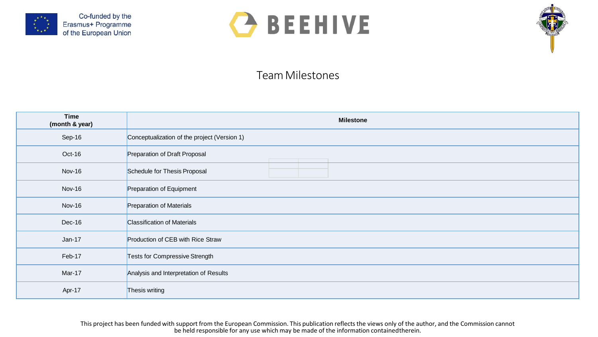





## TeamMilestones

| <b>Time</b><br>(month & year) | <b>Milestone</b>                             |
|-------------------------------|----------------------------------------------|
| Sep-16                        | Conceptualization of the project (Version 1) |
| Oct-16                        | Preparation of Draft Proposal                |
| <b>Nov-16</b>                 | Schedule for Thesis Proposal                 |
| Nov-16                        | Preparation of Equipment                     |
| <b>Nov-16</b>                 | <b>Preparation of Materials</b>              |
| Dec-16                        | <b>Classification of Materials</b>           |
| $Jan-17$                      | Production of CEB with Rice Straw            |
| Feb-17                        | Tests for Compressive Strength               |
| Mar-17                        | Analysis and Interpretation of Results       |
| Apr-17                        | Thesis writing                               |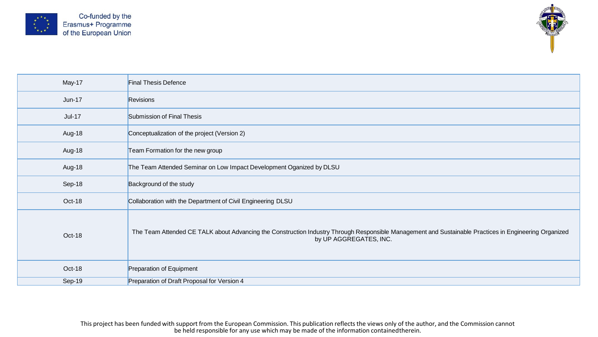



| May-17        | <b>Final Thesis Defence</b>                                                                                                                                                     |
|---------------|---------------------------------------------------------------------------------------------------------------------------------------------------------------------------------|
| <b>Jun-17</b> | <b>Revisions</b>                                                                                                                                                                |
| <b>Jul-17</b> | Submission of Final Thesis                                                                                                                                                      |
| Aug-18        | Conceptualization of the project (Version 2)                                                                                                                                    |
| Aug-18        | Team Formation for the new group                                                                                                                                                |
| Aug-18        | The Team Attended Seminar on Low Impact Development Oganized by DLSU                                                                                                            |
| Sep-18        | Background of the study                                                                                                                                                         |
| Oct-18        | Collaboration with the Department of Civil Engineering DLSU                                                                                                                     |
| Oct-18        | The Team Attended CE TALK about Advancing the Construction Industry Through Responsible Management and Sustainable Practices in Engineering Organized<br>by UP AGGREGATES, INC. |
| Oct-18        | Preparation of Equipment                                                                                                                                                        |
| Sep-19        | Preparation of Draft Proposal for Version 4                                                                                                                                     |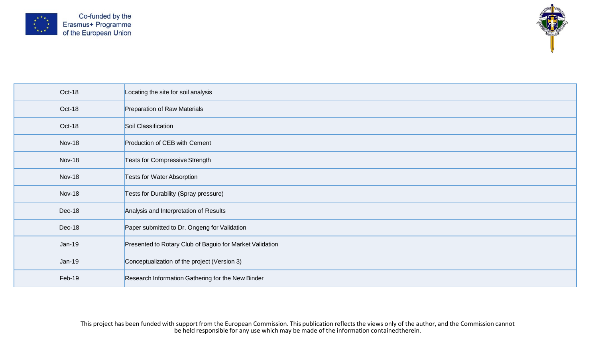



| Oct-18        | Locating the site for soil analysis                      |
|---------------|----------------------------------------------------------|
| Oct-18        | Preparation of Raw Materials                             |
| Oct-18        | Soil Classification                                      |
| <b>Nov-18</b> | Production of CEB with Cement                            |
| <b>Nov-18</b> | Tests for Compressive Strength                           |
| <b>Nov-18</b> | Tests for Water Absorption                               |
| <b>Nov-18</b> | Tests for Durability (Spray pressure)                    |
| Dec-18        | Analysis and Interpretation of Results                   |
| Dec-18        | Paper submitted to Dr. Ongeng for Validation             |
| $Jan-19$      | Presented to Rotary Club of Baguio for Market Validation |
| $Jan-19$      | Conceptualization of the project (Version 3)             |
| Feb-19        | Research Information Gathering for the New Binder        |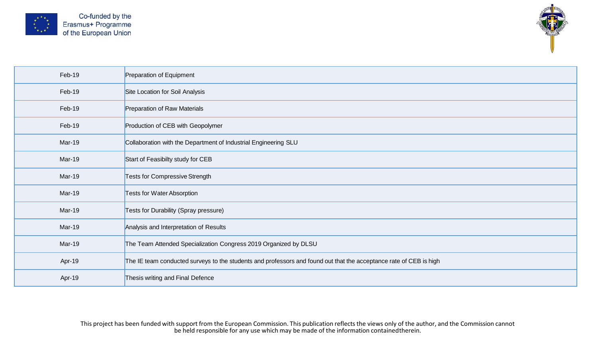



| Feb-19        | Preparation of Equipment                                                                                           |
|---------------|--------------------------------------------------------------------------------------------------------------------|
| Feb-19        | Site Location for Soil Analysis                                                                                    |
| Feb-19        | Preparation of Raw Materials                                                                                       |
| Feb-19        | Production of CEB with Geopolymer                                                                                  |
| Mar-19        | Collaboration with the Department of Industrial Engineering SLU                                                    |
| <b>Mar-19</b> | Start of Feasibilty study for CEB                                                                                  |
| <b>Mar-19</b> | Tests for Compressive Strength                                                                                     |
| Mar-19        | <b>Tests for Water Absorption</b>                                                                                  |
| <b>Mar-19</b> | Tests for Durability (Spray pressure)                                                                              |
| <b>Mar-19</b> | Analysis and Interpretation of Results                                                                             |
| Mar-19        | The Team Attended Specialization Congress 2019 Organized by DLSU                                                   |
| Apr-19        | The IE team conducted surveys to the students and professors and found out that the acceptance rate of CEB is high |
| Apr-19        | Thesis writing and Final Defence                                                                                   |